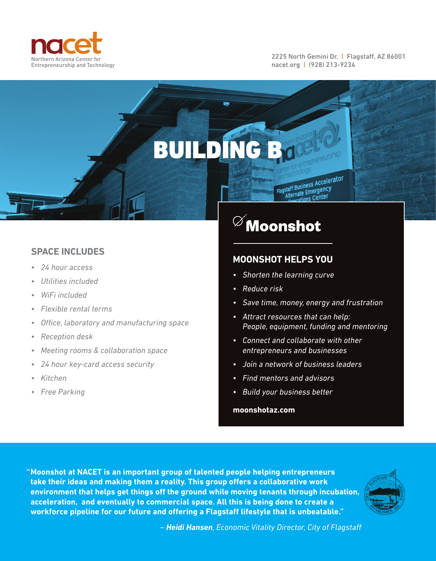

2225 North Gemini Dr. | Flagstaff, AZ 86001 nacet.org | (928) 213-9234

**and technology**<br>Flagstaff Business Accelerator staff Business Accord<br>Alternate Emergency nate Emergence<br>Prations Center

## **SPACE INCLUDES**

- *24 hour access*
- *Utilities included*
- *WiFi included*
- *Flexible rental terms*
- *Offi ce, laboratory and manufacturing space*
- *Reception desk*
- *Meeting rooms & collaboration space*
- *24 hour key-card access security*
- *Kitchen*
- *Free Parking*

## ${}^{\oslash^{\!\!\!\!\sim}}$ Moonshot

## **MOONSHOT HELPS YOU**

- *Shorten the learning curve*
- *Reduce risk*

BUILDING B

- *Save time, money, energy and frustration*
- *Attract resources that can help: People, equipment, funding and mentoring*
- *Connect and collaborate with other entrepreneurs and businesses*
- *Join a network of business leaders*
- *Find mentors and advisors*
- *Build your business better*

**moonshotaz.com**

**" Moonshot at NACET is an important group of talented people helping entrepreneurs**  take their ideas and making them a reality. This group offers a collaborative work **environment that helps get things off the ground while moving tenants through incubation, acceleration, and eventually to commercial space. All this is being done to create a**  workforce pipeline for our future and offering a Flagstaff lifestyle that is unbeatable."



*– Heidi Hansen, Economic Vitality Director, City of Flagstaff*